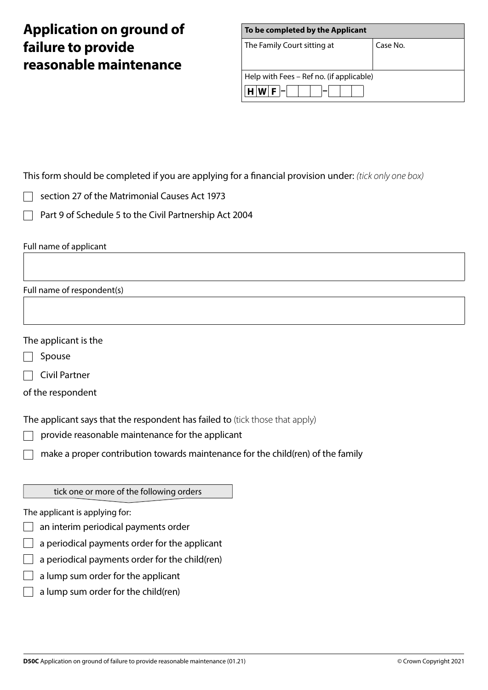# **Application on ground of failure to provide reasonable maintenance**

| To be completed by the Applicant         |          |  |  |  |  |  |
|------------------------------------------|----------|--|--|--|--|--|
| The Family Court sitting at              | Case No. |  |  |  |  |  |
|                                          |          |  |  |  |  |  |
| Help with Fees - Ref no. (if applicable) |          |  |  |  |  |  |
| IW F                                     |          |  |  |  |  |  |

This form should be completed if you are applying for a financial provision under: *(tick only one box)*

- section 27 of the Matrimonial Causes Act 1973
- Part 9 of Schedule 5 to the Civil Partnership Act 2004

Full name of applicant

Full name of respondent(s)

### The applicant is the

- Spouse
- $\Box$  Civil Partner

## of the respondent

The applicant says that the respondent has failed to (tick those that apply)

- provide reasonable maintenance for the applicant
- make a proper contribution towards maintenance for the child(ren) of the family

tick one or more of the following orders

## The applicant is applying for:

- $\Box$  an interim periodical payments order
- $\Box$  a periodical payments order for the applicant
- $\Box$  a periodical payments order for the child(ren)
- $\Box$  a lump sum order for the applicant
- $\Box$  a lump sum order for the child(ren)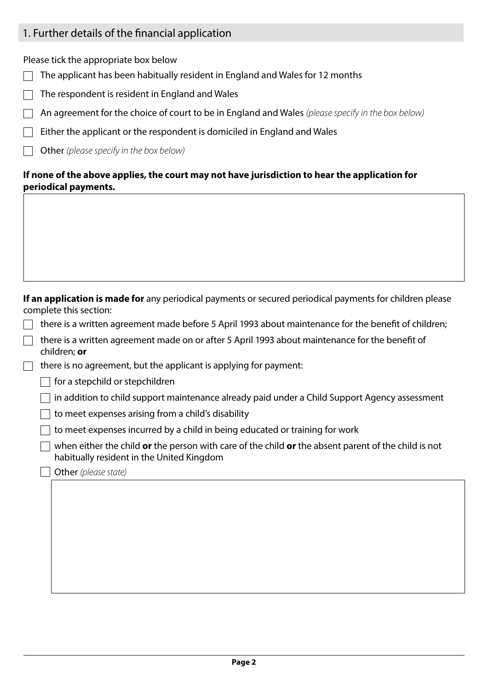| 1. Further details of the financial application |  |
|-------------------------------------------------|--|
|-------------------------------------------------|--|

Please tick the appropriate box below

- The applicant has been habitually resident in England and Wales for 12 months
- The respondent is resident in England and Wales
- An agreement for the choice of court to be in England and Wales *(please specify in the box below)*
- Either the applicant or the respondent is domiciled in England and Wales
- Other *(please specify in the box below)*

# **If none of the above applies, the court may not have jurisdiction to hear the application for periodical payments.**

**If an application is made for** any periodical payments or secured periodical payments for children please complete this section:

- $\Box$  there is a written agreement made before 5 April 1993 about maintenance for the benefit of children;
- there is a written agreement made on or after 5 April 1993 about maintenance for the benefit of children; **or**
- $\Box$  there is no agreement, but the applicant is applying for payment:
	- $\Box$  for a stepchild or stepchildren
		- in addition to child support maintenance already paid under a Child Support Agency assessment
	- $\Box$  to meet expenses arising from a child's disability
	- $\Box$  to meet expenses incurred by a child in being educated or training for work

when either the child **or** the person with care of the child **or** the absent parent of the child is not habitually resident in the United Kingdom

Other *(please state)*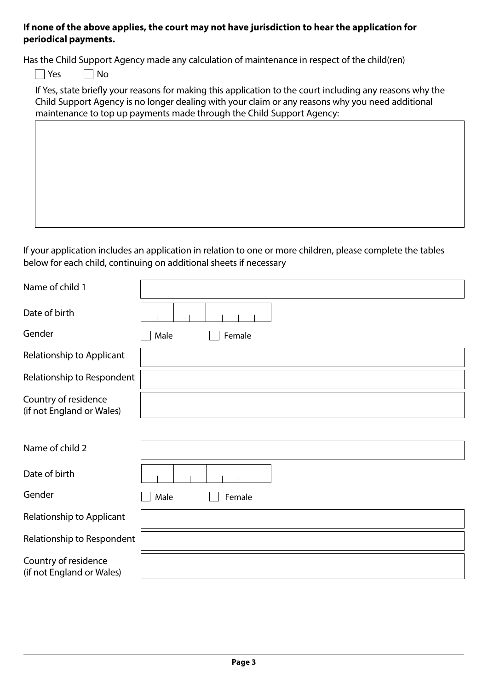## **If none of the above applies, the court may not have jurisdiction to hear the application for periodical payments.**

Has the Child Support Agency made any calculation of maintenance in respect of the child(ren)

 $\Box$  Yes  $\Box$  No

If Yes, state briefly your reasons for making this application to the court including any reasons why the Child Support Agency is no longer dealing with your claim or any reasons why you need additional maintenance to top up payments made through the Child Support Agency:

If your application includes an application in relation to one or more children, please complete the tables below for each child, continuing on additional sheets if necessary

| Name of child 1                                   |                |
|---------------------------------------------------|----------------|
| Date of birth                                     |                |
| Gender                                            | Male<br>Female |
| Relationship to Applicant                         |                |
| Relationship to Respondent                        |                |
| Country of residence<br>(if not England or Wales) |                |
|                                                   |                |
| Name of child 2                                   |                |
| Date of birth                                     |                |
| Gender                                            | Male<br>Female |
| Relationship to Applicant                         |                |
| Relationship to Respondent                        |                |
| Country of residence<br>(if not England or Wales) |                |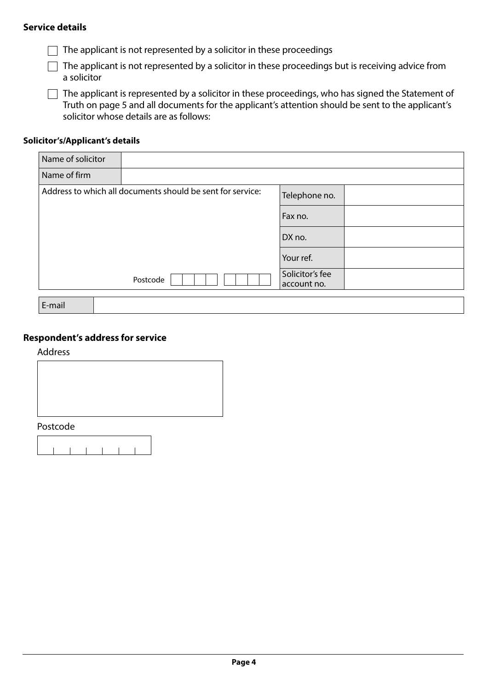## **Service details**

 $\Box$  The applicant is not represented by a solicitor in these proceedings

 $\Box$  The applicant is not represented by a solicitor in these proceedings but is receiving advice from a solicitor

 $\Box$  The applicant is represented by a solicitor in these proceedings, who has signed the Statement of Truth on page 5 and all documents for the applicant's attention should be sent to the applicant's solicitor whose details are as follows:

#### **Solicitor's/Applicant's details**

| Name of firm<br>Address to which all documents should be sent for service: | Name of solicitor |               |
|----------------------------------------------------------------------------|-------------------|---------------|
|                                                                            |                   |               |
|                                                                            |                   | Telephone no. |
| Fax no.                                                                    |                   |               |
| DX no.                                                                     |                   |               |
| Your ref.                                                                  |                   |               |
| Solicitor's fee<br>Postcode<br>account no.                                 |                   |               |
| E-mail                                                                     |                   |               |

## **Respondent's address for service**

Address



Postcode